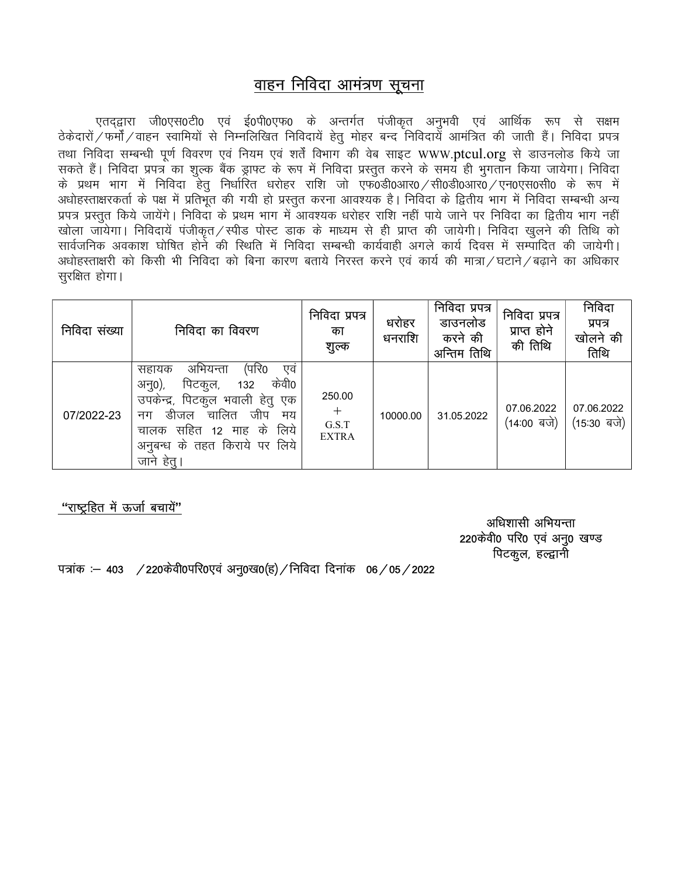## वाहन निविदा आमंत्रण सूचना

एतद्द्वारा जी0एस0टी0 एवं ई0पी0एफ0 के अन्तर्गत पंजीकृत अनुभवी एवं आर्थिक रूप से सक्षम<br>ठेकेदारों ⁄ फर्मौ ⁄ वाहन स्वामियों से निम्नलिखित निविदायें हेतु मोहर बन्द निविदायें आमंत्रित की जाती हैं। निविदा प्रपत्र तथा निविदा सम्बन्धी पूर्ण विवरण एवं नियम एवं शर्तें विभाग की वेब साइट WWW.ptcul.org से डाउनलोड किये जा सकते हैं। निविदा प्रपत्र का शुल्क बैंक ड्राफ्ट के रूप में निविदा प्रस्तुत करने के समय ही भुगतान किया जायेगा। निविदा के प्रथम भाग में निविदा हेतू निर्धारित धरोहर राशि जो एफ0डी0आर0 /सी0डी0आर0 / एन0एस0सी0 के रूप में अधोहस्ताक्षरकर्ता के पक्ष में प्रतिभुत की गयी हो प्रस्तुत करना आवश्यक है। निविदा के द्वितीय भाग में निविदा सम्बन्धी अन्य प्रपत्र प्रस्तत किये जायेंगे। निविदा के प्रथम भाग में आवश्यक धरोहर राशि नहीं पाये जाने पर निविदा का द्वितीय भाग नहीं खोला जायेगा। निविदायें पंजीकृत / स्पीड पोस्ट डाक के माध्यम से ही प्राप्त की जायेगी। निविदा खुलने की तिथि को सार्वजनिक अवकाश घोषित होने की रिथति में निविदा सम्बन्धी कार्यवाही अगले कार्य दिवस में सम्पादित की जायेगी। अधोहस्ताक्षरी को किसी भी निविदा को बिना कारण बताये निरस्त करने एवं कार्य की मात्रा / घटाने / बढाने का अधिकार सुरक्षित होगा।

| निविदा संख्या | निविदा का विवरण                                                                                                                                                                                                              | निविदा प्रपत्र<br>का<br>शुल्क          | धरोहर<br>धनराशि | निविदा प्रपत्र<br>डाउनलोड<br>करने की<br>अन्तिम तिथि | निविदा प्रपत्र<br>प्राप्त होने<br>की तिथि  | निविदा<br>प्रपत्र<br>खोलने की<br>तिथि          |
|---------------|------------------------------------------------------------------------------------------------------------------------------------------------------------------------------------------------------------------------------|----------------------------------------|-----------------|-----------------------------------------------------|--------------------------------------------|------------------------------------------------|
| 07/2022-23    | (परि0<br>अभियन्ता<br>एव<br>सहायक<br>केवी0<br>पिटकुल,<br>अनु0),<br>132<br>उपकेन्द्र, पिटकुल भवाली हेतु एक<br>चालित<br>जीप<br>डीजल<br>मय<br>नग<br>लिये<br>सहित 12 माह के<br>चालक<br>अनुबन्ध के तहत किराये पर लिये<br>जाने हेतु | 250.00<br>$+$<br>G.S.T<br><b>EXTRA</b> | 10000.00        | 31.05.2022                                          | 07.06.2022<br>$(14:00 \sqrt{q} \text{ m})$ | 07.06.2022<br>$(15:30 \sqrt{q} \text{ or } 3)$ |

"राष्टहित में ऊर्जा बचायें"

अधिशासी अभियन्ता 220केवी0 परि0 एवं अनु0 खण्ड पिटकूल, हल्द्वानी

पत्रांक : 403 / 220केवी0परि0एवं अनु0ख0(ह) / निविदा दिनांक 06 / 05 / 2022